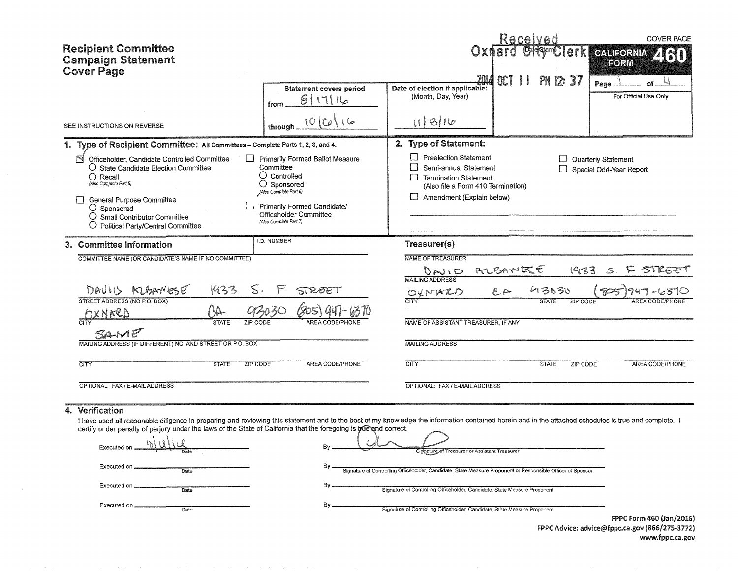| <b>Recipient Committee</b><br><b>Campaign Statement</b><br><b>Cover Page</b><br>SEE INSTRUCTIONS ON REVERSE                                                                                                                                                                                                                                                                                                                             | <b>Statement covers period</b><br>811116<br>from<br>(O Ir o<br>through                                                                                                                                     | 201/<br>Date of election if applicable:<br>(Month, Day, Year)<br>118110                                                                                                                                                                                                                                                | PH 12: 37<br>OCT                                                           | <b>COVER PAGE</b><br>erk<br><b>CALIFORNIA</b><br>FORW<br>Page<br>For Official Use Only   |
|-----------------------------------------------------------------------------------------------------------------------------------------------------------------------------------------------------------------------------------------------------------------------------------------------------------------------------------------------------------------------------------------------------------------------------------------|------------------------------------------------------------------------------------------------------------------------------------------------------------------------------------------------------------|------------------------------------------------------------------------------------------------------------------------------------------------------------------------------------------------------------------------------------------------------------------------------------------------------------------------|----------------------------------------------------------------------------|------------------------------------------------------------------------------------------|
| 1. Type of Recipient Committee: All Committees - Complete Parts 1, 2, 3, and 4.<br>N<br>Officeholder, Candidate Controlled Committee<br>$\bigcirc$ State Candidate Election Committee<br>$\bigcap$ Recall<br>(Also Complete Part 5)<br><b>General Purpose Committee</b><br>$\bigcirc$ Sponsored<br>$\bigcirc$ Small Contributor Committee<br>О<br>Political Party/Central Committee                                                     | Primarily Formed Ballot Measure<br>Committee<br>$\bigcirc$ Controlled<br>$\bigcirc$ Sponsored<br>(Also Complete Part 6)<br>Primarily Formed Candidate/<br>Officeholder Committee<br>(Also Complete Part 7) | 2. Type of Statement:<br>□<br><b>Preelection Statement</b><br>П<br>Semi-annual Statement<br>$\Box$<br><b>Termination Statement</b><br>(Also file a Form 410 Termination)<br>Amendment (Explain below)                                                                                                                  | $\Box$<br>П                                                                | Quarterly Statement<br>Special Odd-Year Report                                           |
| 3. Committee Information<br>COMMITTEE NAME (OR CANDIDATE'S NAME IF NO COMMITTEE)<br>1433<br>DAVID MBANESE<br>STREET ADDRESS (NO P.O. BOX)<br>$\wedge_\Delta$<br>IXNARD<br><b>STATE</b><br>MAILING ADDRESS (IF DIFFERENT) NO. AND STREET OR P.O. BOX<br><b>STATE</b><br>CITY                                                                                                                                                             | I.D. NUMBER<br>STREET<br>ZIP CODE<br>AREA CODE/PHONE<br>ZIP CODE                                                                                                                                           | Treasurer(s)<br>NAME OF TREASURER<br>DAU ID<br>MAILING ADDRESS<br>OXNARD<br>NAME OF ASSISTANT TREASURER, IF ANY<br><b>MAILING ADDRESS</b><br>CTY                                                                                                                                                                       | RLBANEEE<br>$^{\circ}$ $^{\circ}$<br>いろもろい<br><b>STATE</b><br><b>STATE</b> | 1933<br>STREET<br>$\leq$<br><b>ZIP CODE</b><br>AREA CODE/<br>ZIP CODE<br>AREA CODE/PHONE |
| OPTIONAL: FAX / E-MAIL ADDRESS                                                                                                                                                                                                                                                                                                                                                                                                          |                                                                                                                                                                                                            | OPTIONAL: FAX / E-MAIL ADDRESS                                                                                                                                                                                                                                                                                         |                                                                            |                                                                                          |
| Verification<br>4.<br>I have used all reasonable diligence in preparing and reviewing this statement and to the best of my knowledge the information contained herein and in the attached schedules is true and complete. I<br>certify under penalty of perjury under the laws of the State of California that the foregoing is tyle and correct.<br>Executed on<br>Executed on .<br>Date<br>Executed on<br>Date<br>Executed on<br>Date | Bv<br>By<br>Bγ.<br>Bv                                                                                                                                                                                      | Signature of Treasurer or Assistant Treasurer<br>Signature of Controlling Officeholder, Candidate, State Measure Proponent or Responsible Officer of Sponsor<br>Signature of Controlling Officeholder, Candidate, State Measure Proponent<br>Signature of Controlling Officeholder, Candidate, State Measure Proponent |                                                                            |                                                                                          |

FPPC Form 460 (Jan/2016) FPPC Advice: advice@fppc.ca.gov (866/275-3772) www.fppc.ca.gov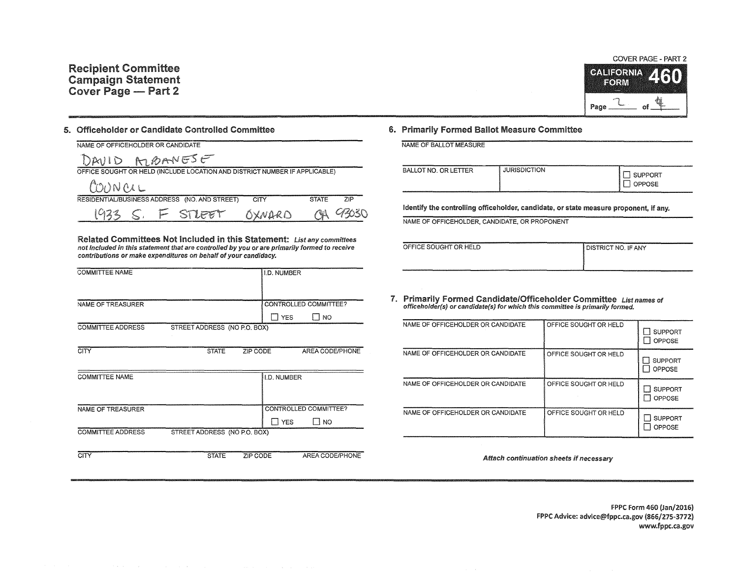

## 5. Officeholder or Candidate Controlled Committee

| NAME OF OFFICEHOLDER OR CANDIDATE                                          |        |              |       |
|----------------------------------------------------------------------------|--------|--------------|-------|
| DAVID MOANESE                                                              |        |              |       |
| OFFICE SOUGHT OR HELD (INCLUDE LOCATION AND DISTRICT NUMBER IF APPLICABLE) |        |              |       |
| COUNCLL                                                                    |        |              |       |
| RESIDENTIAL/BUSINESS ADDRESS (NO. AND STREET)                              | CITY   | <b>STATE</b> | 7IP   |
| F STLEET                                                                   | OXNARD | $\sim$       | 43030 |

Related Committees Not Included in this Statement: List any committees not included in this statement that are controlled by you or are primarily formed to receive contributions or make expenditures on behalf of your candidacy.

| <b>COMMITTEE NAME</b>    |                              |          | I.D. NUMBER        |                       |
|--------------------------|------------------------------|----------|--------------------|-----------------------|
|                          |                              |          |                    |                       |
| NAME OF TREASURER        |                              |          |                    | CONTROLLED COMMITTEE? |
|                          |                              |          | I YES              | Π no                  |
| <b>COMMITTEE ADDRESS</b> | STREET ADDRESS (NO P.O. BOX) |          |                    |                       |
|                          |                              |          |                    |                       |
| <b>CITY</b>              | <b>STATE</b>                 | ZIP CODE |                    | AREA CODE/PHONE       |
|                          |                              |          |                    |                       |
| <b>COMMITTEE NAME</b>    |                              |          | <b>I.D. NUMBER</b> |                       |
|                          |                              |          |                    |                       |
|                          |                              |          |                    |                       |
| <b>NAME OF TREASURER</b> |                              |          |                    | CONTROLLED COMMITTEE? |
|                          |                              |          | <b>T</b> YES       | TI NO                 |
| <b>COMMITTEE ADDRESS</b> | STREET ADDRESS (NO P.O. BOX) |          |                    |                       |

CITY STATE ZIP CODE AREA CODE/PHONE

## 6. Primarily Formed Ballot Measure Committee

NAME OF BALLOT MEASURE

| <b>BALLOT NO. OR LETTER</b> | <b>JURISDICTION</b> | <b>SUPPORT</b><br>OPPOSE<br>a state of the contract of the contract of the contract of the contract of the contract of |
|-----------------------------|---------------------|------------------------------------------------------------------------------------------------------------------------|
|-----------------------------|---------------------|------------------------------------------------------------------------------------------------------------------------|

Identify the controlling officeholder, candidate, or state measure proponent, if any.

NAME OF OFFICEHOLDER, CANDIDATE, OR PROPONENT

| OFFICE SOUGHT OR HELD | <b>DISTRICT NO. IF ANY</b> |
|-----------------------|----------------------------|
|                       |                            |
|                       |                            |

7. Primarily Formed Candidate/Officeholder Committee List names of officeholder (s) or candidate(s) for which this committee is primarily formed.

| NAME OF OFFICEHOLDER OR CANDIDATE | OFFICE SOUGHT OR HELD | <b>SUPPORT</b><br>OPPOSE<br>- 1 |
|-----------------------------------|-----------------------|---------------------------------|
| NAME OF OFFICEHOLDER OR CANDIDATE | OFFICE SOUGHT OR HELD | <b>SUPPORT</b><br><b>OPPOSE</b> |
| NAME OF OFFICEHOLDER OR CANDIDATE | OFFICE SOUGHT OR HELD | <b>SUPPORT</b><br>OPPOSE        |
| NAME OF OFFICEHOLDER OR CANDIDATE | OFFICE SOUGHT OR HELD | <b>SUPPORT</b><br>OPPOSE        |

Attach continuation sheets if necessary

f PPC Form 460 (Jan/2016) FPPC Advice: advice@fppc.ca.gov (866/275-3772) www.fppc.ca.gov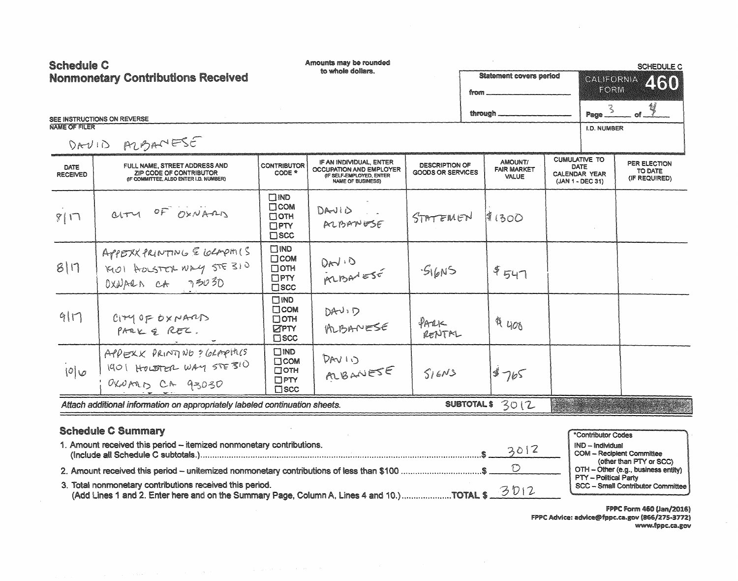| <b>Schedule C</b>                         |                                                                                                                                                                                                  |                                                                          | Amounts may be rounded                                                                                     |                                                   |                                               |                                                             |                                                                 | <b>SCHEDULE C</b>                                                                                  |
|-------------------------------------------|--------------------------------------------------------------------------------------------------------------------------------------------------------------------------------------------------|--------------------------------------------------------------------------|------------------------------------------------------------------------------------------------------------|---------------------------------------------------|-----------------------------------------------|-------------------------------------------------------------|-----------------------------------------------------------------|----------------------------------------------------------------------------------------------------|
| <b>Nonmonetary Contributions Received</b> |                                                                                                                                                                                                  |                                                                          | to whole dollars.                                                                                          |                                                   | <b>Statement covers period</b><br>from        |                                                             | <b>CALIFORNIA</b><br>460<br>FORM                                |                                                                                                    |
|                                           | SEE INSTRUCTIONS ON REVERSE                                                                                                                                                                      |                                                                          |                                                                                                            |                                                   | through.                                      |                                                             | Page $\mathbb{R}^2$                                             |                                                                                                    |
| NAME OF FILER                             | DAVID PRESE                                                                                                                                                                                      |                                                                          |                                                                                                            |                                                   |                                               |                                                             | <b>I.D. NUMBER</b>                                              |                                                                                                    |
| <b>DATE</b><br><b>RECEIVED</b>            | FULL NAME, STREET ADDRESS AND<br>ZIP CODE OF CONTRIBUTOR<br>(IF COMMITTEE, ALSO ENTER I.D. NUMBER)                                                                                               | <b>CONTRIBUTOR</b><br>CODE $*$                                           | IF AN INDIVIDUAL, ENTER<br>OCCUPATION AND EMPLOYER<br>(IF SELF-EMPLOYED, ENTER<br><b>NAME OF BUSINESS)</b> | <b>DESCRIPTION OF</b><br><b>GOODS OR SERVICES</b> | AMOUNT/<br><b>FAIR MARKET</b><br><b>VALUE</b> | <b>CUMULATIVE TO</b><br><b>DATE</b><br><b>CALENDAR YEAR</b> | (JAN 1 - DEC 31)                                                | PER ELECTION<br>TO DATE<br>(IF REQUIRED)                                                           |
| 817                                       | arm OF OXNARD                                                                                                                                                                                    | $\square$ ND<br>$\Box$ COM<br>$\Box$ OTH<br>DPTY<br>$\square$ scc        | DAVID<br>ALBANESE                                                                                          | STATEMEN                                          | 1800                                          |                                                             |                                                                 |                                                                                                    |
| 8 1                                       | APPERXPRINTING & GEAPHIS<br>KIDI HOLSTOL WAY STE 310<br>OXNARAN CA 73030                                                                                                                         | $\square$ MD<br>$\Box$ COM<br>□ОТН<br>DPTY<br>$\square$ scc              | DAVID<br>PRIDAVESE                                                                                         | $-S16N5$                                          | 4547                                          |                                                             |                                                                 |                                                                                                    |
| 911                                       | C <sub>1</sub> YYOPOXPAAD<br>PARK & REL.                                                                                                                                                         | $\square$ ND<br>$\Box$ COM<br>$\Box$ OTH<br><b>ZPTY</b><br>$\square$ scc | $DA-V: D$<br>MBANESE                                                                                       | $P_{A}1$<br>RENTAL                                | $A_{400}$                                     |                                                             |                                                                 |                                                                                                    |
| 0                                         | APPEXX PRINTINO ? GLAPHICS<br>1901 HOLSTER WAY STE 310<br>$0$ KNALD CA $93030$                                                                                                                   | $\square$ MD<br>$\Box$ COM<br>$\Box$ OTH<br>$\Box$ PTY<br><b>TISCC</b>   | DAV10<br>ALBANESE                                                                                          | S16N5                                             | 4765                                          |                                                             |                                                                 |                                                                                                    |
|                                           | Attach additional information on appropriately labeled continuation sheets.                                                                                                                      |                                                                          |                                                                                                            |                                                   | SUBTOTALS 3012                                |                                                             |                                                                 |                                                                                                    |
|                                           | <b>Schedule C Summary</b><br>1. Amount received this period - itemized nonmonetary contributions.<br>2. Amount received this period – unitemized nonmonetary contributions of less than \$100 \$ |                                                                          |                                                                                                            |                                                   | 3012<br>$\circlearrowright$                   |                                                             | *Contributor Codes<br>IND - Individual<br>PTY - Political Party | <b>COM - Recipient Committee</b><br>(other than PTY or SCC)<br>OTH - Other (e.g., business entity) |

3. Total nonmonetary contributions received this period.

(Add Lines 1 and 2. Enter here and on the Summary Page, Column A, Lines 4 and 10.)....................TOTAL \$

FPPC Form 460 (Jan/2016) FPPC Advice: advice@fppc.ca.gov (866/275-3772) www.fppc.ca.gov

**SCC - Small Contributor Committee** 

3012